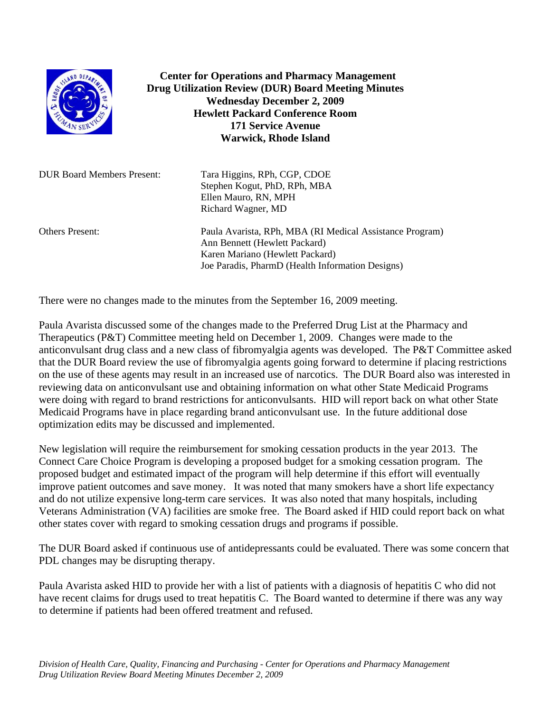

 **Center for Operations and Pharmacy Management Drug Utilization Review (DUR) Board Meeting Minutes Wednesday December 2, 2009 Hewlett Packard Conference Room 171 Service Avenue Warwick, Rhode Island** 

| <b>DUR Board Members Present:</b> | Tara Higgins, RPh, CGP, CDOE<br>Stephen Kogut, PhD, RPh, MBA<br>Ellen Mauro, RN, MPH<br>Richard Wagner, MD                                                                       |
|-----------------------------------|----------------------------------------------------------------------------------------------------------------------------------------------------------------------------------|
| <b>Others Present:</b>            | Paula Avarista, RPh, MBA (RI Medical Assistance Program)<br>Ann Bennett (Hewlett Packard)<br>Karen Mariano (Hewlett Packard)<br>Joe Paradis, PharmD (Health Information Designs) |

There were no changes made to the minutes from the September 16, 2009 meeting.

Paula Avarista discussed some of the changes made to the Preferred Drug List at the Pharmacy and Therapeutics (P&T) Committee meeting held on December 1, 2009. Changes were made to the anticonvulsant drug class and a new class of fibromyalgia agents was developed. The P&T Committee asked that the DUR Board review the use of fibromyalgia agents going forward to determine if placing restrictions on the use of these agents may result in an increased use of narcotics. The DUR Board also was interested in reviewing data on anticonvulsant use and obtaining information on what other State Medicaid Programs were doing with regard to brand restrictions for anticonvulsants. HID will report back on what other State Medicaid Programs have in place regarding brand anticonvulsant use. In the future additional dose optimization edits may be discussed and implemented.

New legislation will require the reimbursement for smoking cessation products in the year 2013. The Connect Care Choice Program is developing a proposed budget for a smoking cessation program. The proposed budget and estimated impact of the program will help determine if this effort will eventually improve patient outcomes and save money. It was noted that many smokers have a short life expectancy and do not utilize expensive long-term care services. It was also noted that many hospitals, including Veterans Administration (VA) facilities are smoke free. The Board asked if HID could report back on what other states cover with regard to smoking cessation drugs and programs if possible.

The DUR Board asked if continuous use of antidepressants could be evaluated. There was some concern that PDL changes may be disrupting therapy.

Paula Avarista asked HID to provide her with a list of patients with a diagnosis of hepatitis C who did not have recent claims for drugs used to treat hepatitis C. The Board wanted to determine if there was any way to determine if patients had been offered treatment and refused.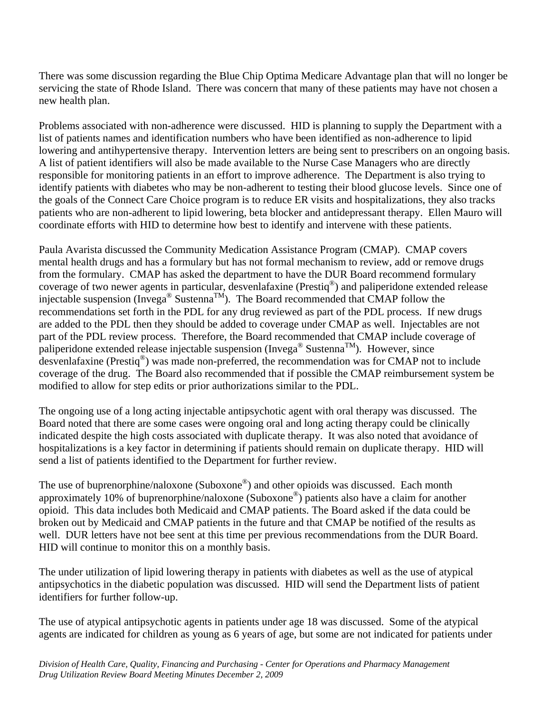There was some discussion regarding the Blue Chip Optima Medicare Advantage plan that will no longer be servicing the state of Rhode Island. There was concern that many of these patients may have not chosen a new health plan.

Problems associated with non-adherence were discussed. HID is planning to supply the Department with a list of patients names and identification numbers who have been identified as non-adherence to lipid lowering and antihypertensive therapy. Intervention letters are being sent to prescribers on an ongoing basis. A list of patient identifiers will also be made available to the Nurse Case Managers who are directly responsible for monitoring patients in an effort to improve adherence. The Department is also trying to identify patients with diabetes who may be non-adherent to testing their blood glucose levels. Since one of the goals of the Connect Care Choice program is to reduce ER visits and hospitalizations, they also tracks patients who are non-adherent to lipid lowering, beta blocker and antidepressant therapy. Ellen Mauro will coordinate efforts with HID to determine how best to identify and intervene with these patients.

Paula Avarista discussed the Community Medication Assistance Program (CMAP). CMAP covers mental health drugs and has a formulary but has not formal mechanism to review, add or remove drugs from the formulary. CMAP has asked the department to have the DUR Board recommend formulary coverage of two newer agents in particular, desvenlafaxine (Prestiq®) and paliperidone extended release injectable suspension (Invega<sup>®</sup> Sustenna<sup>TM</sup>). The Board recommended that CMAP follow the recommendations set forth in the PDL for any drug reviewed as part of the PDL process. If new drugs are added to the PDL then they should be added to coverage under CMAP as well. Injectables are not part of the PDL review process. Therefore, the Board recommended that CMAP include coverage of paliperidone extended release injectable suspension (Invega<sup>®</sup> Sustenna<sup>TM</sup>). However, since desvenlafaxine (Prestiq®) was made non-preferred, the recommendation was for CMAP not to include coverage of the drug. The Board also recommended that if possible the CMAP reimbursement system be modified to allow for step edits or prior authorizations similar to the PDL.

The ongoing use of a long acting injectable antipsychotic agent with oral therapy was discussed. The Board noted that there are some cases were ongoing oral and long acting therapy could be clinically indicated despite the high costs associated with duplicate therapy. It was also noted that avoidance of hospitalizations is a key factor in determining if patients should remain on duplicate therapy. HID will send a list of patients identified to the Department for further review.

The use of buprenorphine/naloxone (Suboxone<sup>®</sup>) and other opioids was discussed. Each month approximately 10% of buprenorphine/naloxone (Suboxone®) patients also have a claim for another opioid. This data includes both Medicaid and CMAP patients. The Board asked if the data could be broken out by Medicaid and CMAP patients in the future and that CMAP be notified of the results as well. DUR letters have not bee sent at this time per previous recommendations from the DUR Board. HID will continue to monitor this on a monthly basis.

The under utilization of lipid lowering therapy in patients with diabetes as well as the use of atypical antipsychotics in the diabetic population was discussed. HID will send the Department lists of patient identifiers for further follow-up.

The use of atypical antipsychotic agents in patients under age 18 was discussed. Some of the atypical agents are indicated for children as young as 6 years of age, but some are not indicated for patients under